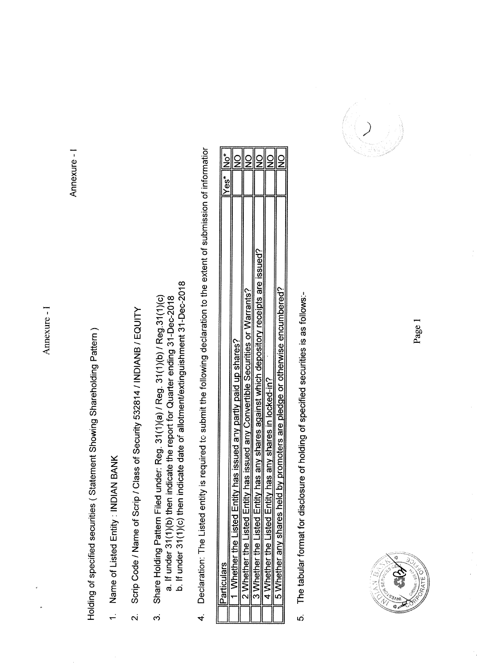Annexure - I

Annexure - I

Holding of specified securities (Statement Showing Shareholding Pattern)

- 1. Name of Listed Entity : INDIAN BANK
- Scrip Code / Name of Scrip / Class of Security 532814 / INDIANB / EQUITY  $\overline{\mathbf{v}}$
- b. If under 31(1)(c) then indicate date of allotment/extinguishment 31-Dec-2018 a. If under 31(1)(b) then indicate the report for Quarter ending 31-Dec-2018 Share Holding Pattern Filed under: Reg. 31(1)(a) / Reg. 31(1)(b) / Reg.31(1)(c) က
- Declaration: The Listed entity is required to submit the following declaration to the extent of submission of informatior  $\overline{4}$

| Ō                                                                  | res) | خ<br>2 |
|--------------------------------------------------------------------|------|--------|
| ntity has issued any partly paid up shares?                        |      |        |
|                                                                    |      |        |
| ntity has issued any Convertible Securities or Warrants?           |      |        |
|                                                                    |      |        |
| ntity has any shares against which depository receipts are issued? |      |        |
|                                                                    |      |        |
| ntity has any shares in locked-in?<br>d                            |      |        |
|                                                                    |      |        |
| leid by promoters are pledge or otherwise encumbered?<br>ā<br>ä    |      |        |
|                                                                    |      |        |
|                                                                    |      |        |

The tabular format for disclosure of holding of specified securities is as follows:-ເດ<br>



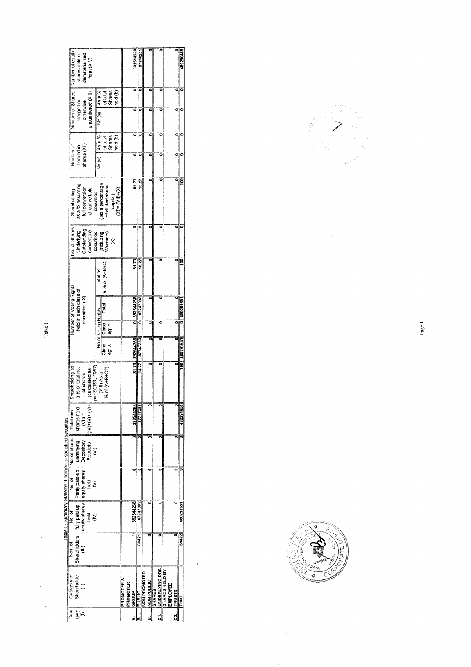| Number of equity<br>shares held in<br>dematerialized<br>form (XIV)                                                                                                                                                                                                                                    |                                                                              | 392544268                                 | 8774620*      |                                             |                       |                                                   | 480290469     |
|-------------------------------------------------------------------------------------------------------------------------------------------------------------------------------------------------------------------------------------------------------------------------------------------------------|------------------------------------------------------------------------------|-------------------------------------------|---------------|---------------------------------------------|-----------------------|---------------------------------------------------|---------------|
| Number of Shares<br>encumbered (XIII)<br>pledged or<br>otherwise                                                                                                                                                                                                                                      | Asa%<br>Shares<br>reid (b)<br>of total<br>No.(a)                             |                                           |               |                                             |                       |                                                   |               |
| shares (XII)<br>Number of<br>Locked in                                                                                                                                                                                                                                                                | As a %<br>held (b)<br><b>Shares</b><br>of total<br>No.(a)                    |                                           |               |                                             |                       |                                                   |               |
| as a % assuming<br>full conversion<br>Shareholding,<br>of convertible                                                                                                                                                                                                                                 | as a percentage<br>of diluted share<br>$(X)+1=X+1$<br>securities<br>capital) | 81.73                                     | 18.27         |                                             |                       |                                                   |               |
| No. of Shares<br>Outstanding<br>convertible<br>Underlying                                                                                                                                                                                                                                             | securities<br>(including<br>Warrants)                                        |                                           |               |                                             |                       |                                                   |               |
|                                                                                                                                                                                                                                                                                                       | a % of (A+B+C)<br>Total as                                                   | 81.73                                     | 18.27         |                                             |                       |                                                   |               |
| Number of Voting Rights<br>held in each class of<br>securities (IX)                                                                                                                                                                                                                                   | Total<br>No of Voting Rights                                                 | 392544268                                 | 87747383      |                                             |                       |                                                   | 0 480291651   |
|                                                                                                                                                                                                                                                                                                       | Class<br>eg: Y<br>Class<br>eg: X                                             | 81.73 392544268                           | 87747383      |                                             |                       |                                                   | 100 480291651 |
| Shareholding as<br>a % of total no.<br>(calculated as<br>of shares                                                                                                                                                                                                                                    | per SCRR, 1957<br>(VIII) As a<br>% of (A+B+C2)                               |                                           | 18.27         |                                             |                       |                                                   |               |
| $\begin{array}{c} \n\text{ shares held} \\ \text{(VII)} = \\ \text{(VI)} + (\text{(V)} + (\text{(VI)})\n\end{array}$                                                                                                                                                                                  |                                                                              | 392544268                                 | 87747383      |                                             |                       |                                                   | 480291651     |
|                                                                                                                                                                                                                                                                                                       |                                                                              |                                           |               |                                             |                       |                                                   |               |
|                                                                                                                                                                                                                                                                                                       |                                                                              |                                           |               |                                             |                       |                                                   |               |
| Nos. of No. of No. of No. of No. of Shares Trail as Shares held<br>Shareholders Luly paid up between planes held<br>(III) equivales equivalenses Deposition Shares held<br>(III) expection of the property of No. of No. of No. of No.<br>Table I - Summary Statement holding of specified securities |                                                                              | 392544268                                 | 87747383      |                                             |                       |                                                   | 480291651     |
|                                                                                                                                                                                                                                                                                                       |                                                                              |                                           | 6942          |                                             |                       |                                                   | 69422         |
| Shareholder<br>Category of<br>€                                                                                                                                                                                                                                                                       |                                                                              | <b>ROMOTER &amp;</b><br>PROMOTER<br>GROUP | <b>SUBLIC</b> | <b>ON PROMOTER-</b><br>NON PUBLIC<br>SHARES | <b>INDERLYING DRS</b> | HARES HELD BY<br><b>EMPLOYEE</b><br><b>IRUSTS</b> | <b>Total</b>  |
| Cate<br>$\tilde{g} \in$                                                                                                                                                                                                                                                                               |                                                                              |                                           |               |                                             | õ                     | d                                                 |               |

 $\epsilon$ 



Table I

J.



Page 1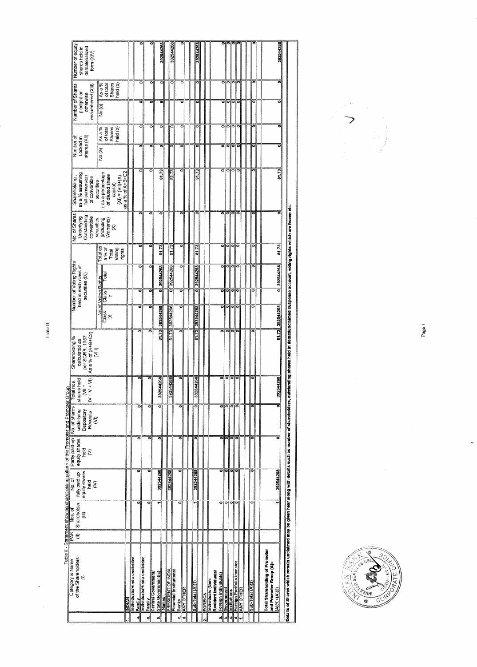| Number of equity<br>shares held in<br>dematerialized<br>form (XIV)                                                                  |                                                                                                         |               |                                                   |                                 |                                                            | 392544268      | 392544268                                     |            |                        | 392544268       |         |                  |                      |                           |                      |                   |         |                                           |                  |                                                                  | 392544268       |                                                                                                                 |  |
|-------------------------------------------------------------------------------------------------------------------------------------|---------------------------------------------------------------------------------------------------------|---------------|---------------------------------------------------|---------------------------------|------------------------------------------------------------|----------------|-----------------------------------------------|------------|------------------------|-----------------|---------|------------------|----------------------|---------------------------|----------------------|-------------------|---------|-------------------------------------------|------------------|------------------------------------------------------------------|-----------------|-----------------------------------------------------------------------------------------------------------------|--|
| Number of Shares<br>encumbered (XIII)<br>pledged or<br>otherwise                                                                    | <b>Shares</b><br>held (b)<br>As a %<br>of total<br>No.(a)                                               |               |                                                   | ö<br>ē                          | ö<br>ö                                                     | ក<br>ö         | ō                                             |            | ៑<br>¢                 | ៑<br>۰          |         |                  |                      | ៑<br>۰                    | ៑                    | ololo             | $\circ$ |                                           |                  |                                                                  | ៑<br>۰          |                                                                                                                 |  |
| shares (XII)<br>Number of<br>Locked in                                                                                              | Shares<br>held (b)<br>As a %<br>of total<br>No.(a)                                                      |               |                                                   | ៑<br>ē                          | ē                                                          | ಕ<br>ō         |                                               |            | ö<br>c                 |                 |         |                  |                      |                           |                      | ਠ                 |         |                                           |                  |                                                                  | ۰<br>۰          |                                                                                                                 |  |
| as a % assuming<br>Shareholding,<br>full conversion<br>of convertible                                                               | as a % of A+B+C2<br>as a percentage<br>of diuted share<br>$(X1) = (V1) + (X)$<br>securities<br>capital) |               |                                                   | ë                               | ਰ                                                          | 51.73          | 81.73                                         |            | ō                      | 81.73           |         |                  |                      |                           |                      |                   |         |                                           |                  |                                                                  | 81.73           |                                                                                                                 |  |
| No. of Shares<br>Underlying<br>Outstanding<br>convertible                                                                           | securities<br>including<br>Narrants)<br>8                                                               |               |                                                   | c                               |                                                            |                |                                               |            |                        |                 |         |                  |                      |                           |                      |                   |         |                                           |                  |                                                                  |                 |                                                                                                                 |  |
|                                                                                                                                     | Total as<br>a% of<br>Total<br>Voting<br>rights                                                          |               |                                                   | ۰                               | ē                                                          | 81.73          | 61.73                                         |            | õ                      | 81.73           |         |                  |                      | ਠ                         |                      | 이의의               |         |                                           |                  |                                                                  | 81.73           |                                                                                                                 |  |
| Number of Voting Rights<br>held in each class of<br>securities (IX)                                                                 | Total<br><b>Voting Rights</b><br>Class<br>Y                                                             |               |                                                   | ō<br>õ                          |                                                            | 392544268<br>ទ | 392544268<br>능                                |            | ៑<br>ō                 | 392544268       |         |                  |                      | ᆱ<br>۰                    | ਠ                    | ſo                | olo     |                                           | ō                |                                                                  | 392544268<br>ਠ  |                                                                                                                 |  |
|                                                                                                                                     | No.of<br><b>Class</b><br>$\times$                                                                       |               | ៑<br>٥                                            |                                 | ត<br>392544268<br>ē                                        |                | 392544268                                     |            | ៊<br>៊                 | 392544268       |         |                  |                      | ទ<br>۰                    | ő                    | তা<br>ololo       | ra      |                                           | ۰                |                                                                  | 81.73 392544268 |                                                                                                                 |  |
| As a % of (A+B+C2)<br>(VIII)<br>per SCRR, 1957<br>Shareholding <sup>9</sup> %<br>calculated as                                      |                                                                                                         |               |                                                   |                                 | $\frac{1}{2}$                                              |                | 81.73                                         |            |                        | 8173            |         |                  |                      |                           |                      |                   |         |                                           |                  |                                                                  |                 | vustanding shares held in dematuncialmed suspense account, voting rights which are frozen etc.                  |  |
| shares held<br>$+V+VI$<br>Total nos<br>$\sum_{i=1}^{n}$<br>≥                                                                        |                                                                                                         |               | ē                                                 |                                 | 392544268                                                  |                | 392544268                                     |            | ë                      | 92544268        |         |                  |                      |                           |                      |                   |         |                                           | I                |                                                                  | 392544268       |                                                                                                                 |  |
| Table il - Statement showing shareholding pattern of the Promoter and Promoter Group<br>underlying<br>Depository<br>Recepts<br>(VI) |                                                                                                         |               | ä                                                 | ö                               | ö                                                          |                |                                               |            | ö                      |                 |         |                  |                      | ត                         | ۰                    | ō                 | õ       |                                           |                  |                                                                  |                 |                                                                                                                 |  |
| Partly paid-up No. of shares<br>equity shares<br>held<br>$\hat{\epsilon}$                                                           |                                                                                                         |               | õ                                                 | õ                               | ទ                                                          |                |                                               |            | õ                      |                 |         |                  |                      | ë                         |                      |                   |         |                                           |                  |                                                                  |                 |                                                                                                                 |  |
| equity shares<br>fully paid up<br>ত<br>২০<br>held<br>$\mathbf{\hat{\varepsilon}}$                                                   |                                                                                                         |               |                                                   |                                 | 392544268                                                  |                | 392544268                                     |            | 0                      | 392544268       |         |                  |                      |                           | ۰                    | ਠ                 |         |                                           |                  |                                                                  | 392544268       |                                                                                                                 |  |
| $\begin{array}{c} \texttt{S} \texttt{hareholder} \\ \texttt{(III)} \end{array}$<br>Nos. of<br>PAN<br>€                              |                                                                                                         |               | ö                                                 | ë                               |                                                            |                |                                               |            |                        |                 |         |                  |                      |                           | ۰                    |                   |         |                                           |                  |                                                                  |                 |                                                                                                                 |  |
| of the Shareholders<br>Category & Name<br>$\in$                                                                                     |                                                                                                         | <b>ANDIAN</b> | ndividuals/Hindu undivided<br><b>Family</b><br>a, | ndividuals/Hindu undivided<br>d | Family<br>Central Government/<br>State Government(s)<br>ٔم | Names          | PRESIDENT OF INDIA<br>Financial Institutions/ | Banks<br>ن | <b>ANY OTHER</b><br>್ಲ | Sub-Total (A)(1 | FOREIGN | ndividuals (Non- | Resident Individuals | Foreign Individuals)<br>п | Government<br>.<br>م | Institutions<br>c | d.      | ]Foreign Portfolio Investor<br>]ANY OTHER | Sub-Total (A)(2) | <b>Total Shareholding of Promoter</b><br>and Promoter Group (A)= | (A)(1)+(A)(2)   | Details of Shares which remain unclaimed may be given hear along with details such as number of shareholders, o |  |



 $\overline{\phantom{a}}$ 

Page 1

 $\frac{1}{2}$ 

Table II

 $\overline{a}$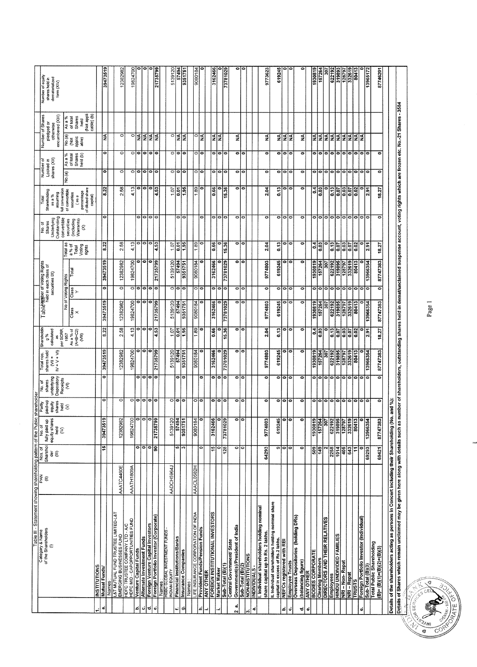| able III - Statement showing shareholding pattern of the Pub                                    |                   |                          | ē                                                                                                   | shareholder                     |                                  |                               |                           |                          |                      |                                                       |                                     |                              |                                                                   |                        |                                |                                              |                                                         |                                                      |
|-------------------------------------------------------------------------------------------------|-------------------|--------------------------|-----------------------------------------------------------------------------------------------------|---------------------------------|----------------------------------|-------------------------------|---------------------------|--------------------------|----------------------|-------------------------------------------------------|-------------------------------------|------------------------------|-------------------------------------------------------------------|------------------------|--------------------------------|----------------------------------------------|---------------------------------------------------------|------------------------------------------------------|
| of the Shareholders<br>Category & Name                                                          | PAN<br>€          | Sharehol<br>Nos. of      | No.of                                                                                               | paid-up<br>Partly               | shares<br>or<br>So               | Total nos.<br>shares held     | Shareholdin<br>9 %        |                          |                      | Table under of Voting Rights<br>heid in each class of |                                     | Shares<br>No. of             | Shareholding<br>Total                                             | Number of<br>Locked in |                                | Number of Shares                             |                                                         | Number of equity<br>shares held in<br>dematerialized |
| €                                                                                               |                   | ď                        | fully paid up<br>equity shares<br>held                                                              | shares<br>equity                | Depository<br>underlying         | $N + V + VI$<br>$\frac{1}{2}$ | calculated<br>ä           |                          | securities IX)       |                                                       |                                     | Underlying<br>Outstanding    | assuming<br>as a %                                                | shares (XII)           |                                | encumbered (XIII)<br>pledged or<br>otherwise |                                                         | form (XIV)                                           |
|                                                                                                 |                   |                          | $\widehat{\epsilon}$                                                                                | $\frac{1}{2}$                   | Receipts<br>$\widehat{\epsilon}$ |                               | per SCRR<br>1957          |                          | No of Voting Rights  |                                                       | Total as                            | convertible<br>securities    | full conversion<br>of convertible                                 | No.(a)                 | As a %                         | No.(a)                                       | As a %                                                  |                                                      |
|                                                                                                 |                   |                          |                                                                                                     |                                 |                                  |                               | Asa% of<br>(A+B+C2)<br>ξ  | $\frac{2}{\text{class}}$ | Class<br>Y           | Total                                                 | Voting<br>a % of<br>Total<br>rights | (including<br>Warrants)<br>8 | of diluted share<br>percentage<br>securities<br>capital)<br>(as a |                        | of total<br>Shares<br>held (b) | esia<br>Taga<br>Taga                         | (Not appli)<br>cable) (b)<br>Shares<br>of total<br>held |                                                      |
| <b>INSTITUTIONS</b>                                                                             |                   |                          |                                                                                                     |                                 |                                  |                               |                           |                          |                      |                                                       |                                     |                              |                                                                   |                        |                                |                                              |                                                         |                                                      |
| Mutual Funds/<br>Names                                                                          |                   | $\overline{15}$          | ∣হু<br>394735                                                                                       | $\circ$                         | ब                                | 39473519                      | 8.22                      | 39473519                 | $\bullet$            | 39473519                                              | $\frac{22}{2}$                      | $\overline{\bullet}$         | 8.22                                                              | ō                      | $\circ$                        | $\frac{4}{2}$                                |                                                         | 39473519                                             |
| L&T MUTUAL FUND TRUSTEE LIMITED-L&T<br>EMERGING BUSINESSES FUND                                 | AAATC4460E        |                          | 12382982                                                                                            | $\overline{\circ}$              |                                  | 12382982                      | 38<br>$\mathbf{a}$        |                          |                      |                                                       |                                     |                              |                                                                   |                        |                                |                                              |                                                         |                                                      |
| HDFC TRUSTEE COMPANY LTD - A/C<br>HDFC MID - CAPOPPORTUNITIES FUND                              |                   |                          |                                                                                                     |                                 |                                  |                               |                           | 12382982                 | $\circ$              | 12382982                                              | 38<br>N                             |                              | 3<br><b>N</b>                                                     | $\circ$                | $\circ$                        | $\circ$                                      |                                                         | 12382982                                             |
| <b>Venture Capital Funds</b>                                                                    | <b>AAATH1809A</b> |                          |                                                                                                     |                                 |                                  | 19824700                      | 4.13                      | 19824700                 | $\circ$   $\circ$    | 19824700                                              | 4.13                                |                              | 4.13                                                              | ం∣ం                    | $\circ$                        | o                                            |                                                         | 19824700                                             |
| Alternate Investment Funds                                                                      |                   | $\bullet$                |                                                                                                     | $\circ$ $\circ$ $\circ$ $\circ$ | $\bullet$<br>$\overline{0}$      | $\overline{\bullet}$<br>Ò     | ۰<br>$\bullet$            | $\bullet$<br>۰           | $\bullet$            | ۰                                                     | $\circ$   $\circ$                   | ۰<br>۰                       | c<br>e                                                            | lo                     | $\circ$   $\circ$              | $\frac{4}{2}$                                |                                                         |                                                      |
| Foreign Venture Capital Investors<br>Foreign Portfolio Investor (Corporate)                     |                   | ە∣ە                      |                                                                                                     |                                 | o                                | ۰                             | ۰                         | 0                        | ۰                    | 0  0                                                  | lo                                  | ៑                            | 0                                                                 | lФ                     | l0                             |                                              |                                                         |                                                      |
|                                                                                                 |                   | 90                       | 2173579                                                                                             |                                 | $\overline{\bullet}$             | 21735799                      | 4.53                      | 21735799                 | $\bullet$            | 21735799                                              | 4.53                                | $\bullet$                    | 4.53                                                              | lo                     | lo                             | l≨∣≨                                         |                                                         | 21735799                                             |
| Names :<br>HSBC GLOBAL INVESTMENT FUNDS<br>INDIAN EQUITY                                        | AADCH5964J        |                          | 513912                                                                                              |                                 |                                  |                               |                           |                          |                      |                                                       |                                     |                              |                                                                   |                        |                                |                                              |                                                         |                                                      |
| <b>Financial Institutions/Banks</b>                                                             |                   | ۱Q)                      | $\frac{139720}{57494}$                                                                              | $\circ$ $\circ$ $\circ$         | ರ                                | 5139120<br>57494              | န့်<br>107                | 5139120<br>57494         | $\circ$ $\circ$      | 5139120<br>57494                                      | 107                                 |                              | 107                                                               | 이<br>$\circ$           | $\circ$ $\circ$ $\circ$        | $\circ$                                      |                                                         | 5139120                                              |
| Insurance Companies                                                                             |                   | $\sim$                   | 93517                                                                                               |                                 | lo                               | 9351751                       | $\frac{1.95}{2}$          | 9351751                  |                      | 9351751                                               | $\frac{5}{13}$                      | 010                          | 흲ᇙ                                                                | o                      |                                | $\frac{1}{2}$                                |                                                         | 57494<br>9351751                                     |
| Names                                                                                           |                   |                          |                                                                                                     |                                 |                                  |                               |                           |                          |                      |                                                       |                                     |                              |                                                                   |                        |                                |                                              |                                                         |                                                      |
| LIFE INSURANCE CORPORATION OF INDIA                                                             | AAACL0582H        |                          | $\begin{array}{c c}\n\hline\n\text{geons} \\ \hline\n\text{one} \\ \hline\n\text{one}\n\end{array}$ | ం∣ం                             |                                  | 9080184                       | 1.89                      | 9080184                  | ञ०                   | 9080184                                               | 1.89                                |                              | 8                                                                 | O                      | ۰                              | ٥                                            |                                                         | 9080184                                              |
| Provident Funds/Pension Funds<br><b>ANY OTHER</b>                                               |                   | Ò                        |                                                                                                     |                                 | ۰                                | ۰                             | ۰                         | ۰                        |                      | ۰                                                     | ۰                                   | ۰                            | ۰                                                                 | ۰                      | ۰                              | Z                                            |                                                         |                                                      |
| <b>FOREIGN INSTITUTIONAL INVESTORS</b>                                                          |                   | $\frac{15}{2}$           | 316246                                                                                              |                                 | ۰                                | 3162466                       | 0.66                      | 3162466                  | $\overline{\bullet}$ | 3162466                                               | 0.66                                | ۰                            | 0.66                                                              | 0                      | ۰                              | <b>VN</b>                                    |                                                         | 3162466                                              |
| Market Maker                                                                                    |                   | ¢                        |                                                                                                     | $\circ$   $\circ$               | $\bullet$                        |                               | ۰                         | 0                        | $\bullet$            | 0                                                     | ៑                                   | ó                            | ۰                                                                 | $\overline{\bullet}$   | $\bullet$                      | E                                            |                                                         |                                                      |
| Sub-Total (B)(1)                                                                                |                   | $\frac{128}{ }$          | ဖွဲ့ြစ္လု<br>7378102                                                                                |                                 | ۰                                | 73781029                      | 15.36                     | 73781029                 | $\bullet$            | 73781029                                              | 15.36                               | ۰                            | 15.36                                                             | $\bullet$              | $\bullet$                      |                                              |                                                         | $rac{1}{2}$                                          |
| Government(s)/President of India<br><b>Central Government/State</b>                             |                   | $\bullet$                |                                                                                                     |                                 | ۰                                | ۰                             |                           |                          |                      |                                                       |                                     | ۰                            | ۰                                                                 | $\bullet$              |                                | ≨                                            |                                                         |                                                      |
| Sub-Total (B)(2)                                                                                |                   | $\bullet$                | ၀ ၀                                                                                                 | 00                              | e                                | lo                            | ৹৷                        | 이어                       | ం∣ం                  | ం∣ం                                                   | 이어                                  | lo                           | lo                                                                | lo                     | 00                             |                                              |                                                         |                                                      |
| NON-INSTITUTIONS<br>INDIVIDUALS -                                                               |                   |                          |                                                                                                     |                                 |                                  |                               |                           |                          |                      |                                                       |                                     |                              |                                                                   |                        |                                |                                              |                                                         |                                                      |
| L Individual shareholders holding nominal<br>share capital up to Rs. 2 lakhs.                   |                   |                          |                                                                                                     |                                 |                                  |                               |                           |                          |                      |                                                       |                                     |                              |                                                                   |                        |                                |                                              |                                                         |                                                      |
| II. Individual shareholders holding nominal share                                               |                   | 64293                    | 9774803                                                                                             | ۰                               | ۰                                | 9774803                       | 2.04                      | 9774803                  | ۰                    | 9774803                                               | 2.04                                | $\bullet$                    | 2.04                                                              | ۰                      | ۰                              | ≨                                            |                                                         | 9773623                                              |
| capital in excess of Rs.2 lakhs.<br>NBFCs registered with RBI                                   |                   |                          | 61924                                                                                               |                                 | ۰                                | 619245                        | 0.13                      | 619245                   | ۰ı                   | 619245                                                | 0.13                                | ۰                            | $\frac{1}{2}$                                                     | $\bullet$              | ۰                              |                                              |                                                         | 619245                                               |
| <b>Employee Trusts</b>                                                                          |                   | ၈ $\overline{\circ}$     | ပ္အျချခ                                                                                             | $\circ$ $\circ$ $\circ$         | 0 0                              | ۰<br>۰                        | ۰<br>$\overline{\bullet}$ | ၀ ၀                      | $\bullet$<br>۰       | 010                                                   | ۰<br>۰                              | ۰<br>۰                       | ۰<br>۰                                                            | $\bullet$<br>$\bullet$ | ۰<br>۰                         | $\frac{1}{2}$ $\frac{1}{2}$                  |                                                         |                                                      |
| Overseas Depositories (holding DRs)                                                             |                   |                          |                                                                                                     |                                 |                                  |                               |                           |                          |                      |                                                       |                                     |                              |                                                                   |                        |                                |                                              |                                                         |                                                      |
| (balancing figure)<br>ANY OTHER                                                                 |                   | $\circ$                  | $\bullet$                                                                                           | $\bullet$                       | ۰                                | $\bullet$                     | ۰                         | ۰                        | ۰                    | ۰                                                     | $\bullet$                           | $\circ$                      | ۰                                                                 | ۰                      | ۰                              | ş                                            |                                                         |                                                      |
| <b>BODIES CORPORATE</b>                                                                         |                   |                          |                                                                                                     |                                 |                                  | 1930819                       |                           | 1930819                  |                      | 1930819                                               |                                     |                              |                                                                   |                        |                                |                                              |                                                         | 1930819                                              |
|                                                                                                 |                   | $\frac{69}{149}$         |                                                                                                     | 이이                              | ە∣ە                              | 157264                        | $rac{1}{2}$               | 157264                   | 010                  | 157264                                                | $\frac{0.4}{0.03}$                  | ۰<br>۰                       | $\mathbf{5}$<br>83                                                | ۰<br>۰                 | ۰                              | $\frac{1}{2}$                                |                                                         | 157264                                               |
| Clearing Members<br>DIRECTORS AND THEIR RELATIVES                                               |                   | $\overline{\phantom{0}}$ |                                                                                                     |                                 |                                  | <b>307</b>                    | 0                         | 307                      | $\bullet$            | 307                                                   | 0                                   | ۰                            |                                                                   | $\bullet$              | lo                             |                                              |                                                         | 307                                                  |
| Employees<br>HINDU UNDIVIDED FAMILIES                                                           |                   | 2258                     |                                                                                                     |                                 |                                  | 622192                        | $\overline{6}$            | 622192                   | 0                    | 622192                                                | 0.13                                | e                            | $\frac{13}{2}$                                                    | Ιo                     | $\circ$                        |                                              |                                                         | 622192                                               |
|                                                                                                 |                   | 1014                     |                                                                                                     |                                 |                                  | 319895                        | 0.07                      | 319895                   | ۰                    | 319895                                                | 500                                 | ۰                            | 59                                                                | $\bullet$              | ۰                              |                                              |                                                         | 319893                                               |
| NRI - Non- Repat                                                                                |                   | $rac{9}{500}$            |                                                                                                     | 00000                           |                                  | 128797<br>332619              | $\frac{0.03}{0.07}$       | 128797<br>332619         | 0 0                  | 128797<br>332619                                      | $rac{3}{100}$                       | olo                          | 362                                                               | $\bullet$              | $\bullet$                      | 2222                                         |                                                         | 128797<br>332619                                     |
| NRI - Repat<br>TRUSTS                                                                           |                   |                          |                                                                                                     |                                 | 000000                           |                               |                           |                          |                      |                                                       |                                     |                              |                                                                   | $\bullet$              | ۰                              |                                              |                                                         |                                                      |
|                                                                                                 |                   | F                        |                                                                                                     | $\bullet$                       | lo                               | 80413                         | 0.02                      | 80413                    | iо<br>ю              | 80413<br>۰                                            | ۰<br>0.02                           | ۰<br>0                       | 0.02                                                              | lo<br>۰                | lo<br>$\circ$                  | l≨≦                                          |                                                         | 80413                                                |
| <u>Foreign Portfolio Investor (Individual)</u><br>Sub-Total (B)(3)<br>Total Public Shareholding |                   | 69293                    |                                                                                                     | $  \circ   \circ$               | ۰                                | 13966354                      | 2.91                      | 13966354                 | $\bullet$            | 13966354                                              | 2.91                                | ۰                            | 2.91                                                              | ۰                      | $\circ$                        |                                              |                                                         | 13965172                                             |
| $(B)=(B)(1)+(B)(2)+(B)(3)$                                                                      |                   | 69421                    | 87747383                                                                                            | ۰                               | ۰                                | 87747383                      | 18.27                     | 87747383                 | ۰                    | 87747383                                              | 18.27                               | ۰                            | 18.27                                                             | $\overline{\bullet}$   | ۰                              |                                              |                                                         | 87746201                                             |
|                                                                                                 |                   |                          |                                                                                                     |                                 |                                  |                               |                           |                          |                      |                                                       |                                     |                              |                                                                   |                        |                                |                                              |                                                         |                                                      |

Page 1